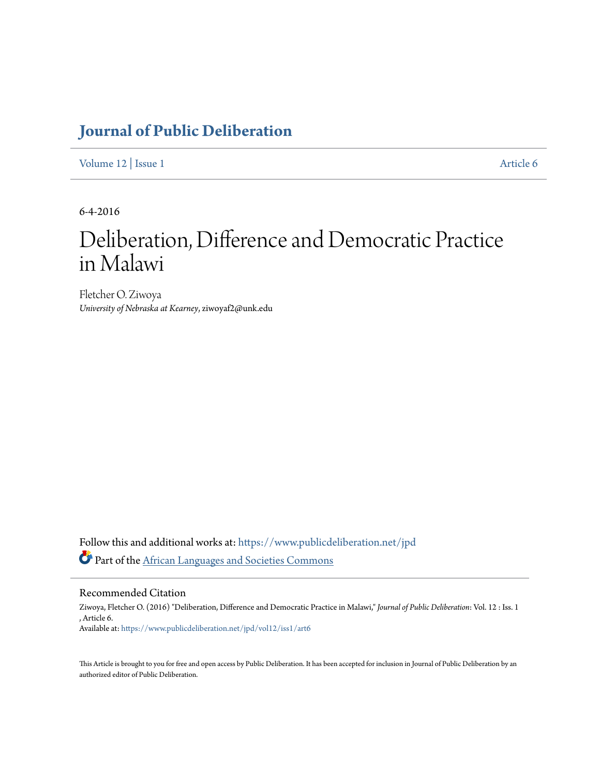## **[Journal of Public Deliberation](https://www.publicdeliberation.net/jpd?utm_source=www.publicdeliberation.net%2Fjpd%2Fvol12%2Fiss1%2Fart6&utm_medium=PDF&utm_campaign=PDFCoverPages)**

[Volume 12](https://www.publicdeliberation.net/jpd/vol12?utm_source=www.publicdeliberation.net%2Fjpd%2Fvol12%2Fiss1%2Fart6&utm_medium=PDF&utm_campaign=PDFCoverPages) | [Issue 1](https://www.publicdeliberation.net/jpd/vol12/iss1?utm_source=www.publicdeliberation.net%2Fjpd%2Fvol12%2Fiss1%2Fart6&utm_medium=PDF&utm_campaign=PDFCoverPages) [Article 6](https://www.publicdeliberation.net/jpd/vol12/iss1/art6?utm_source=www.publicdeliberation.net%2Fjpd%2Fvol12%2Fiss1%2Fart6&utm_medium=PDF&utm_campaign=PDFCoverPages)

6-4-2016

# Deliberation, Difference and Democratic Practice in Malawi

Fletcher O. Ziwoya *University of Nebraska at Kearney*, ziwoyaf2@unk.edu

Follow this and additional works at: [https://www.publicdeliberation.net/jpd](https://www.publicdeliberation.net/jpd?utm_source=www.publicdeliberation.net%2Fjpd%2Fvol12%2Fiss1%2Fart6&utm_medium=PDF&utm_campaign=PDFCoverPages) Part of the [African Languages and Societies Commons](http://network.bepress.com/hgg/discipline/476?utm_source=www.publicdeliberation.net%2Fjpd%2Fvol12%2Fiss1%2Fart6&utm_medium=PDF&utm_campaign=PDFCoverPages)

Recommended Citation

Ziwoya, Fletcher O. (2016) "Deliberation, Difference and Democratic Practice in Malawi," *Journal of Public Deliberation*: Vol. 12 : Iss. 1 , Article 6. Available at: [https://www.publicdeliberation.net/jpd/vol12/iss1/art6](https://www.publicdeliberation.net/jpd/vol12/iss1/art6?utm_source=www.publicdeliberation.net%2Fjpd%2Fvol12%2Fiss1%2Fart6&utm_medium=PDF&utm_campaign=PDFCoverPages)

This Article is brought to you for free and open access by Public Deliberation. It has been accepted for inclusion in Journal of Public Deliberation by an authorized editor of Public Deliberation.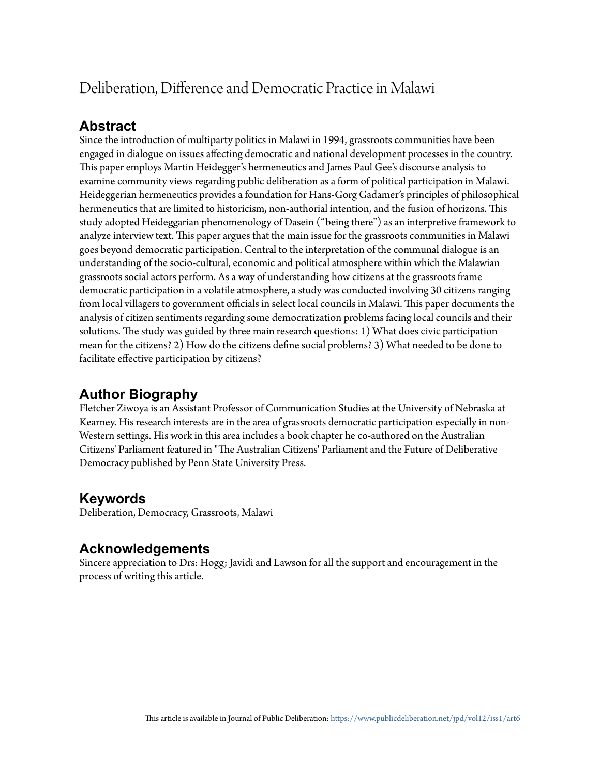## Deliberation, Difference and Democratic Practice in Malawi

## **Abstract**

Since the introduction of multiparty politics in Malawi in 1994, grassroots communities have been engaged in dialogue on issues affecting democratic and national development processes in the country. This paper employs Martin Heidegger's hermeneutics and James Paul Gee's discourse analysis to examine community views regarding public deliberation as a form of political participation in Malawi. Heideggerian hermeneutics provides a foundation for Hans-Gorg Gadamer's principles of philosophical hermeneutics that are limited to historicism, non-authorial intention, and the fusion of horizons. This study adopted Heideggarian phenomenology of Dasein ("being there") as an interpretive framework to analyze interview text. This paper argues that the main issue for the grassroots communities in Malawi goes beyond democratic participation. Central to the interpretation of the communal dialogue is an understanding of the socio-cultural, economic and political atmosphere within which the Malawian grassroots social actors perform. As a way of understanding how citizens at the grassroots frame democratic participation in a volatile atmosphere, a study was conducted involving 30 citizens ranging from local villagers to government officials in select local councils in Malawi. This paper documents the analysis of citizen sentiments regarding some democratization problems facing local councils and their solutions. The study was guided by three main research questions: 1) What does civic participation mean for the citizens? 2) How do the citizens define social problems? 3) What needed to be done to facilitate effective participation by citizens?

## **Author Biography**

Fletcher Ziwoya is an Assistant Professor of Communication Studies at the University of Nebraska at Kearney. His research interests are in the area of grassroots democratic participation especially in non-Western settings. His work in this area includes a book chapter he co-authored on the Australian Citizens' Parliament featured in "The Australian Citizens' Parliament and the Future of Deliberative Democracy published by Penn State University Press.

### **Keywords**

Deliberation, Democracy, Grassroots, Malawi

### **Acknowledgements**

Sincere appreciation to Drs: Hogg; Javidi and Lawson for all the support and encouragement in the process of writing this article.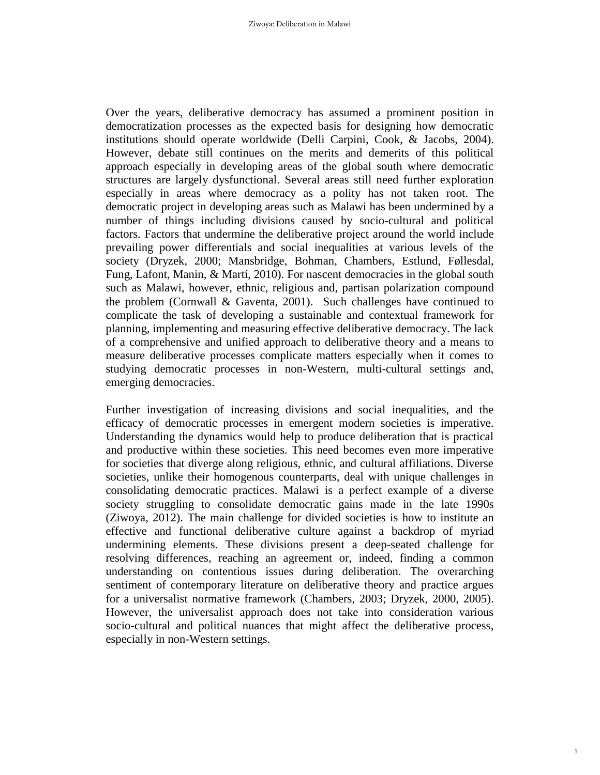Over the years, deliberative democracy has assumed a prominent position in democratization processes as the expected basis for designing how democratic institutions should operate worldwide (Delli Carpini, Cook, & Jacobs, 2004). However, debate still continues on the merits and demerits of this political approach especially in developing areas of the global south where democratic structures are largely dysfunctional. Several areas still need further exploration especially in areas where democracy as a polity has not taken root. The democratic project in developing areas such as Malawi has been undermined by a number of things including divisions caused by socio-cultural and political factors. Factors that undermine the deliberative project around the world include prevailing power differentials and social inequalities at various levels of the society (Dryzek, 2000; Mansbridge, Bohman, Chambers, Estlund, Føllesdal, Fung, Lafont, Manin, & Martí, 2010). For nascent democracies in the global south such as Malawi, however, ethnic, religious and, partisan polarization compound the problem (Cornwall & Gaventa, 2001). Such challenges have continued to complicate the task of developing a sustainable and contextual framework for planning, implementing and measuring effective deliberative democracy. The lack of a comprehensive and unified approach to deliberative theory and a means to measure deliberative processes complicate matters especially when it comes to studying democratic processes in non-Western, multi-cultural settings and, emerging democracies.

Further investigation of increasing divisions and social inequalities, and the efficacy of democratic processes in emergent modern societies is imperative. Understanding the dynamics would help to produce deliberation that is practical and productive within these societies. This need becomes even more imperative for societies that diverge along religious, ethnic, and cultural affiliations. Diverse societies, unlike their homogenous counterparts, deal with unique challenges in consolidating democratic practices. Malawi is a perfect example of a diverse society struggling to consolidate democratic gains made in the late 1990s (Ziwoya, 2012). The main challenge for divided societies is how to institute an effective and functional deliberative culture against a backdrop of myriad undermining elements. These divisions present a deep-seated challenge for resolving differences, reaching an agreement or, indeed, finding a common understanding on contentious issues during deliberation. The overarching sentiment of contemporary literature on deliberative theory and practice argues for a universalist normative framework (Chambers, 2003; Dryzek, 2000, 2005). However, the universalist approach does not take into consideration various socio-cultural and political nuances that might affect the deliberative process, especially in non-Western settings.

1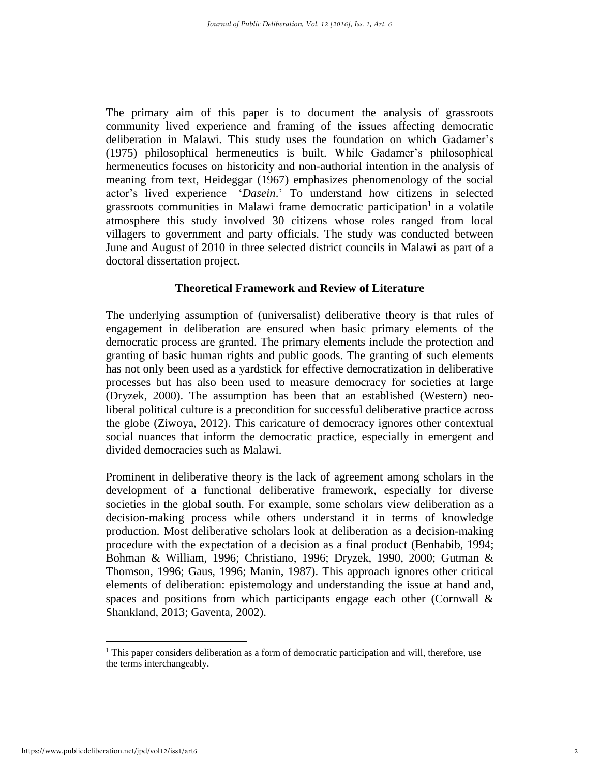The primary aim of this paper is to document the analysis of grassroots community lived experience and framing of the issues affecting democratic deliberation in Malawi. This study uses the foundation on which Gadamer's (1975) philosophical hermeneutics is built. While Gadamer's philosophical hermeneutics focuses on historicity and non-authorial intention in the analysis of meaning from text, Heideggar (1967) emphasizes phenomenology of the social actor's lived experience—'*Dasein*.' To understand how citizens in selected grassroots communities in Malawi frame democratic participation<sup>1</sup> in a volatile atmosphere this study involved 30 citizens whose roles ranged from local villagers to government and party officials. The study was conducted between June and August of 2010 in three selected district councils in Malawi as part of a doctoral dissertation project.

#### **Theoretical Framework and Review of Literature**

The underlying assumption of (universalist) deliberative theory is that rules of engagement in deliberation are ensured when basic primary elements of the democratic process are granted. The primary elements include the protection and granting of basic human rights and public goods. The granting of such elements has not only been used as a yardstick for effective democratization in deliberative processes but has also been used to measure democracy for societies at large (Dryzek, 2000). The assumption has been that an established (Western) neoliberal political culture is a precondition for successful deliberative practice across the globe (Ziwoya, 2012). This caricature of democracy ignores other contextual social nuances that inform the democratic practice, especially in emergent and divided democracies such as Malawi.

Prominent in deliberative theory is the lack of agreement among scholars in the development of a functional deliberative framework, especially for diverse societies in the global south. For example, some scholars view deliberation as a decision-making process while others understand it in terms of knowledge production. Most deliberative scholars look at deliberation as a decision-making procedure with the expectation of a decision as a final product (Benhabib, 1994; Bohman & William, 1996; Christiano, 1996; Dryzek, 1990, 2000; Gutman & Thomson, 1996; Gaus, 1996; Manin, 1987). This approach ignores other critical elements of deliberation: epistemology and understanding the issue at hand and, spaces and positions from which participants engage each other (Cornwall & Shankland, 2013; Gaventa, 2002).

 $1$  This paper considers deliberation as a form of democratic participation and will, therefore, use the terms interchangeably.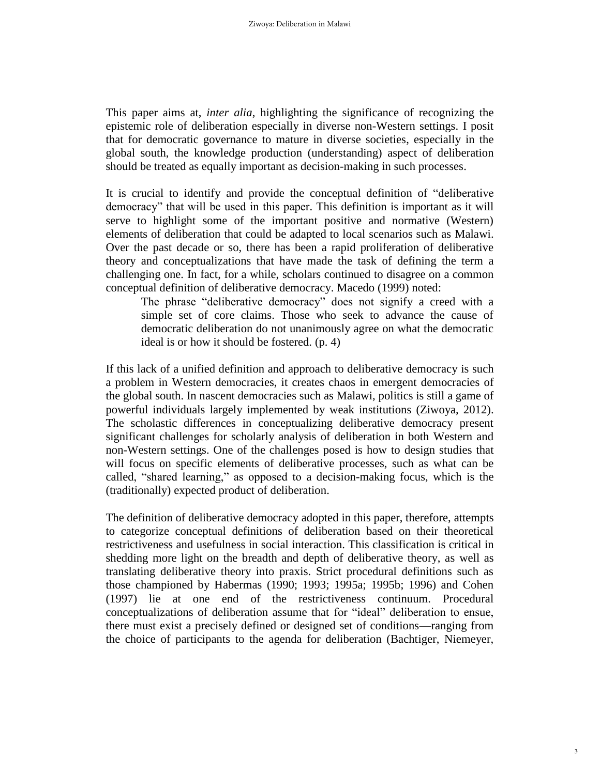This paper aims at, *inter alia*, highlighting the significance of recognizing the epistemic role of deliberation especially in diverse non-Western settings. I posit that for democratic governance to mature in diverse societies, especially in the global south, the knowledge production (understanding) aspect of deliberation should be treated as equally important as decision-making in such processes.

It is crucial to identify and provide the conceptual definition of "deliberative democracy" that will be used in this paper. This definition is important as it will serve to highlight some of the important positive and normative (Western) elements of deliberation that could be adapted to local scenarios such as Malawi. Over the past decade or so, there has been a rapid proliferation of deliberative theory and conceptualizations that have made the task of defining the term a challenging one. In fact, for a while, scholars continued to disagree on a common conceptual definition of deliberative democracy. Macedo (1999) noted:

The phrase "deliberative democracy" does not signify a creed with a simple set of core claims. Those who seek to advance the cause of democratic deliberation do not unanimously agree on what the democratic ideal is or how it should be fostered. (p. 4)

If this lack of a unified definition and approach to deliberative democracy is such a problem in Western democracies, it creates chaos in emergent democracies of the global south. In nascent democracies such as Malawi, politics is still a game of powerful individuals largely implemented by weak institutions (Ziwoya, 2012). The scholastic differences in conceptualizing deliberative democracy present significant challenges for scholarly analysis of deliberation in both Western and non-Western settings. One of the challenges posed is how to design studies that will focus on specific elements of deliberative processes, such as what can be called, "shared learning," as opposed to a decision-making focus, which is the (traditionally) expected product of deliberation.

The definition of deliberative democracy adopted in this paper, therefore, attempts to categorize conceptual definitions of deliberation based on their theoretical restrictiveness and usefulness in social interaction. This classification is critical in shedding more light on the breadth and depth of deliberative theory, as well as translating deliberative theory into praxis. Strict procedural definitions such as those championed by Habermas (1990; 1993; 1995a; 1995b; 1996) and Cohen (1997) lie at one end of the restrictiveness continuum. Procedural conceptualizations of deliberation assume that for "ideal" deliberation to ensue, there must exist a precisely defined or designed set of conditions—ranging from the choice of participants to the agenda for deliberation (Bachtiger, Niemeyer,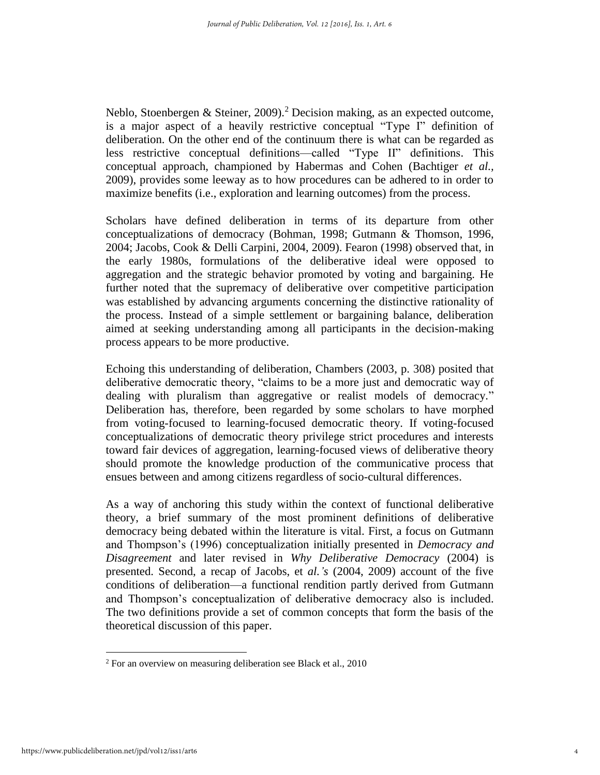Neblo, Stoenbergen & Steiner, 2009).<sup>2</sup> Decision making, as an expected outcome, is a major aspect of a heavily restrictive conceptual "Type I" definition of deliberation. On the other end of the continuum there is what can be regarded as less restrictive conceptual definitions—called "Type II" definitions. This conceptual approach, championed by Habermas and Cohen (Bachtiger *et al.,* 2009), provides some leeway as to how procedures can be adhered to in order to maximize benefits (i.e., exploration and learning outcomes) from the process.

Scholars have defined deliberation in terms of its departure from other conceptualizations of democracy (Bohman, 1998; Gutmann & Thomson, 1996, 2004; Jacobs, Cook & Delli Carpini, 2004, 2009). Fearon (1998) observed that, in the early 1980s, formulations of the deliberative ideal were opposed to aggregation and the strategic behavior promoted by voting and bargaining. He further noted that the supremacy of deliberative over competitive participation was established by advancing arguments concerning the distinctive rationality of the process. Instead of a simple settlement or bargaining balance, deliberation aimed at seeking understanding among all participants in the decision-making process appears to be more productive.

Echoing this understanding of deliberation, Chambers (2003, p. 308) posited that deliberative democratic theory, "claims to be a more just and democratic way of dealing with pluralism than aggregative or realist models of democracy." Deliberation has, therefore, been regarded by some scholars to have morphed from voting-focused to learning-focused democratic theory. If voting-focused conceptualizations of democratic theory privilege strict procedures and interests toward fair devices of aggregation, learning-focused views of deliberative theory should promote the knowledge production of the communicative process that ensues between and among citizens regardless of socio-cultural differences.

As a way of anchoring this study within the context of functional deliberative theory, a brief summary of the most prominent definitions of deliberative democracy being debated within the literature is vital. First, a focus on Gutmann and Thompson's (1996) conceptualization initially presented in *Democracy and Disagreement* and later revised in *Why Deliberative Democracy* (2004) is presented. Second, a recap of Jacobs, et *al.'s* (2004, 2009) account of the five conditions of deliberation—a functional rendition partly derived from Gutmann and Thompson's conceptualization of deliberative democracy also is included. The two definitions provide a set of common concepts that form the basis of the theoretical discussion of this paper.

<sup>2</sup> For an overview on measuring deliberation see Black et al., 2010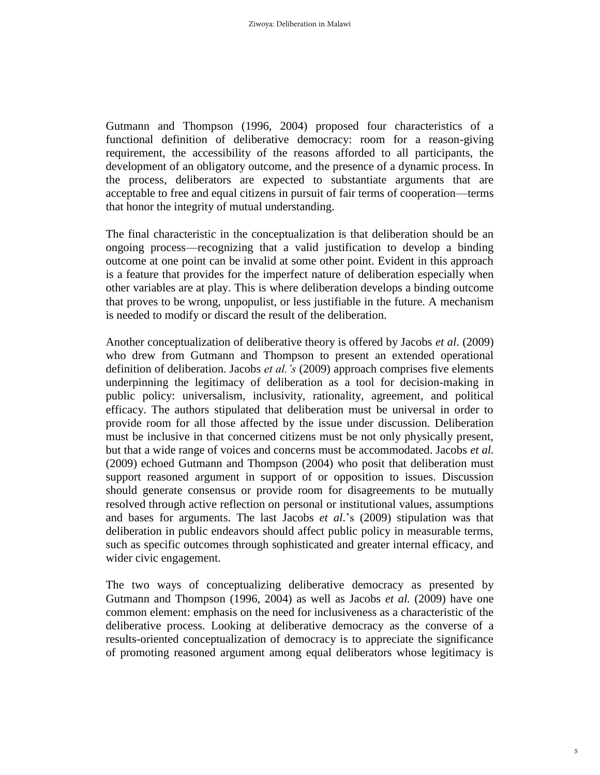Gutmann and Thompson (1996, 2004) proposed four characteristics of a functional definition of deliberative democracy: room for a reason-giving requirement, the accessibility of the reasons afforded to all participants, the development of an obligatory outcome, and the presence of a dynamic process. In the process, deliberators are expected to substantiate arguments that are acceptable to free and equal citizens in pursuit of fair terms of cooperation—terms that honor the integrity of mutual understanding.

The final characteristic in the conceptualization is that deliberation should be an ongoing process—recognizing that a valid justification to develop a binding outcome at one point can be invalid at some other point. Evident in this approach is a feature that provides for the imperfect nature of deliberation especially when other variables are at play. This is where deliberation develops a binding outcome that proves to be wrong, unpopulist, or less justifiable in the future. A mechanism is needed to modify or discard the result of the deliberation.

Another conceptualization of deliberative theory is offered by Jacobs *et al*. (2009) who drew from Gutmann and Thompson to present an extended operational definition of deliberation. Jacobs *et al.'s* (2009) approach comprises five elements underpinning the legitimacy of deliberation as a tool for decision-making in public policy: universalism, inclusivity, rationality, agreement, and political efficacy. The authors stipulated that deliberation must be universal in order to provide room for all those affected by the issue under discussion. Deliberation must be inclusive in that concerned citizens must be not only physically present, but that a wide range of voices and concerns must be accommodated. Jacobs *et al.* (2009) echoed Gutmann and Thompson (2004) who posit that deliberation must support reasoned argument in support of or opposition to issues. Discussion should generate consensus or provide room for disagreements to be mutually resolved through active reflection on personal or institutional values, assumptions and bases for arguments. The last Jacobs *et al.*'s (2009) stipulation was that deliberation in public endeavors should affect public policy in measurable terms, such as specific outcomes through sophisticated and greater internal efficacy, and wider civic engagement.

The two ways of conceptualizing deliberative democracy as presented by Gutmann and Thompson (1996, 2004) as well as Jacobs *et al.* (2009) have one common element: emphasis on the need for inclusiveness as a characteristic of the deliberative process. Looking at deliberative democracy as the converse of a results-oriented conceptualization of democracy is to appreciate the significance of promoting reasoned argument among equal deliberators whose legitimacy is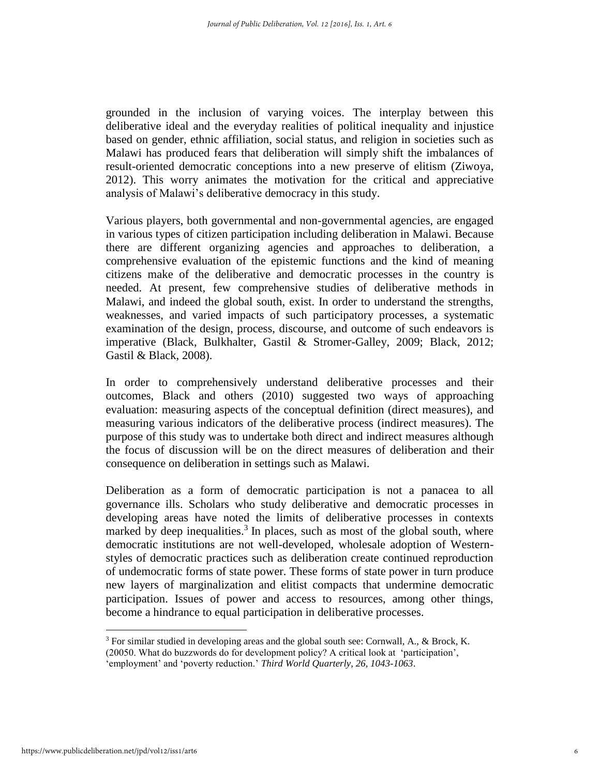grounded in the inclusion of varying voices. The interplay between this deliberative ideal and the everyday realities of political inequality and injustice based on gender, ethnic affiliation, social status, and religion in societies such as Malawi has produced fears that deliberation will simply shift the imbalances of result-oriented democratic conceptions into a new preserve of elitism (Ziwoya, 2012). This worry animates the motivation for the critical and appreciative analysis of Malawi's deliberative democracy in this study.

Various players, both governmental and non-governmental agencies, are engaged in various types of citizen participation including deliberation in Malawi. Because there are different organizing agencies and approaches to deliberation, a comprehensive evaluation of the epistemic functions and the kind of meaning citizens make of the deliberative and democratic processes in the country is needed. At present, few comprehensive studies of deliberative methods in Malawi, and indeed the global south, exist. In order to understand the strengths, weaknesses, and varied impacts of such participatory processes, a systematic examination of the design, process, discourse, and outcome of such endeavors is imperative (Black, Bulkhalter, Gastil & Stromer-Galley, 2009; Black, 2012; Gastil & Black, 2008).

In order to comprehensively understand deliberative processes and their outcomes, Black and others (2010) suggested two ways of approaching evaluation: measuring aspects of the conceptual definition (direct measures), and measuring various indicators of the deliberative process (indirect measures). The purpose of this study was to undertake both direct and indirect measures although the focus of discussion will be on the direct measures of deliberation and their consequence on deliberation in settings such as Malawi.

Deliberation as a form of democratic participation is not a panacea to all governance ills. Scholars who study deliberative and democratic processes in developing areas have noted the limits of deliberative processes in contexts marked by deep inequalities.<sup>3</sup> In places, such as most of the global south, where democratic institutions are not well-developed, wholesale adoption of Westernstyles of democratic practices such as deliberation create continued reproduction of undemocratic forms of state power. These forms of state power in turn produce new layers of marginalization and elitist compacts that undermine democratic participation. Issues of power and access to resources, among other things, become a hindrance to equal participation in deliberative processes.

<sup>&</sup>lt;sup>3</sup> For similar studied in developing areas and the global south see: Cornwall, A., & Brock, K. (20050. What do buzzwords do for development policy? A critical look at 'participation',

<sup>&#</sup>x27;employment' and 'poverty reduction.' *Third World Quarterly, 26, 1043-1063*.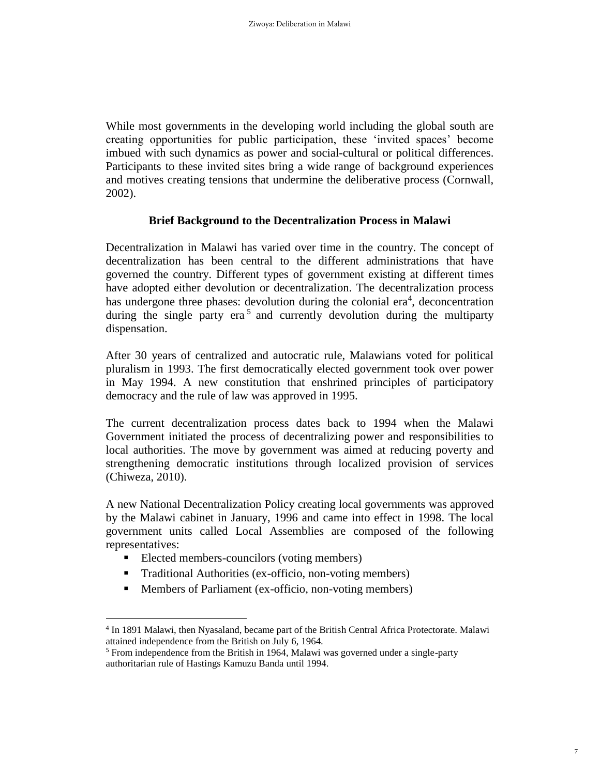While most governments in the developing world including the global south are creating opportunities for public participation, these 'invited spaces' become imbued with such dynamics as power and social-cultural or political differences. Participants to these invited sites bring a wide range of background experiences and motives creating tensions that undermine the deliberative process (Cornwall, 2002).

#### **Brief Background to the Decentralization Process in Malawi**

Decentralization in Malawi has varied over time in the country. The concept of decentralization has been central to the different administrations that have governed the country. Different types of government existing at different times have adopted either devolution or decentralization. The decentralization process has undergone three phases: devolution during the colonial  $era<sup>4</sup>$ , deconcentration during the single party era<sup>5</sup> and currently devolution during the multiparty dispensation.

After 30 years of centralized and autocratic rule, Malawians voted for political pluralism in 1993. The first democratically elected government took over power in May 1994. A new constitution that enshrined principles of participatory democracy and the rule of law was approved in 1995.

The current decentralization process dates back to 1994 when the Malawi Government initiated the process of decentralizing power and responsibilities to local authorities. The move by government was aimed at reducing poverty and strengthening democratic institutions through localized provision of services (Chiweza, 2010).

A new National Decentralization Policy creating local governments was approved by the Malawi cabinet in January, 1996 and came into effect in 1998. The local government units called Local Assemblies are composed of the following representatives:

Elected members-councilors (voting members)

- Traditional Authorities (ex-officio, non-voting members)
- **Members of Parliament (ex-officio, non-voting members)**

<sup>4</sup> In 1891 Malawi, then Nyasaland, became part of the British Central Africa Protectorate. Malawi attained independence from the British on July 6, 1964.

<sup>5</sup> From independence from the British in 1964, Malawi was governed under a single-party authoritarian rule of Hastings Kamuzu Banda until 1994.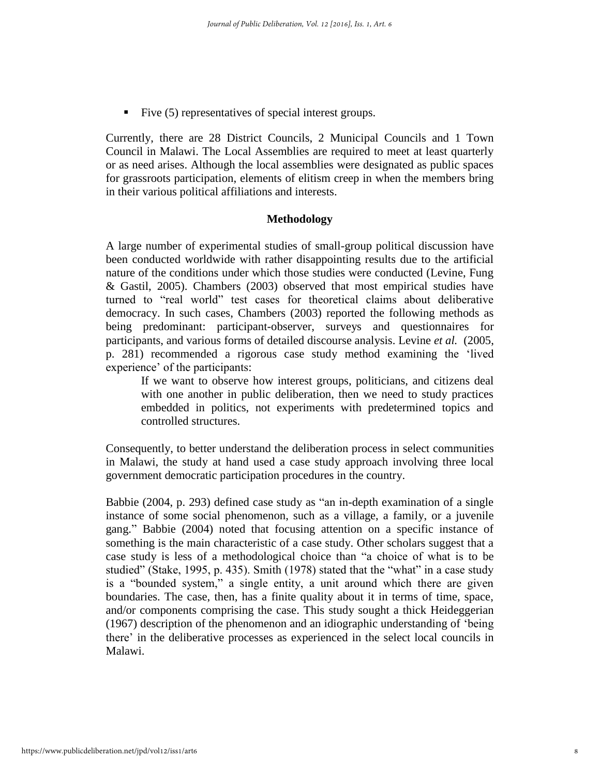Five (5) representatives of special interest groups.

Currently, there are 28 District Councils, 2 Municipal Councils and 1 Town Council in Malawi. The Local Assemblies are required to meet at least quarterly or as need arises. Although the local assemblies were designated as public spaces for grassroots participation, elements of elitism creep in when the members bring in their various political affiliations and interests.

#### **Methodology**

A large number of experimental studies of small-group political discussion have been conducted worldwide with rather disappointing results due to the artificial nature of the conditions under which those studies were conducted (Levine, Fung & Gastil, 2005). Chambers (2003) observed that most empirical studies have turned to "real world" test cases for theoretical claims about deliberative democracy. In such cases, Chambers (2003) reported the following methods as being predominant: participant-observer, surveys and questionnaires for participants, and various forms of detailed discourse analysis. Levine *et al.* (2005, p. 281) recommended a rigorous case study method examining the 'lived experience' of the participants:

If we want to observe how interest groups, politicians, and citizens deal with one another in public deliberation, then we need to study practices embedded in politics, not experiments with predetermined topics and controlled structures.

Consequently, to better understand the deliberation process in select communities in Malawi, the study at hand used a case study approach involving three local government democratic participation procedures in the country.

Babbie (2004, p. 293) defined case study as "an in-depth examination of a single instance of some social phenomenon, such as a village, a family, or a juvenile gang." Babbie (2004) noted that focusing attention on a specific instance of something is the main characteristic of a case study. Other scholars suggest that a case study is less of a methodological choice than "a choice of what is to be studied" (Stake, 1995, p. 435). Smith (1978) stated that the "what" in a case study is a "bounded system," a single entity, a unit around which there are given boundaries. The case, then, has a finite quality about it in terms of time, space, and/or components comprising the case. This study sought a thick Heideggerian (1967) description of the phenomenon and an idiographic understanding of 'being there' in the deliberative processes as experienced in the select local councils in Malawi.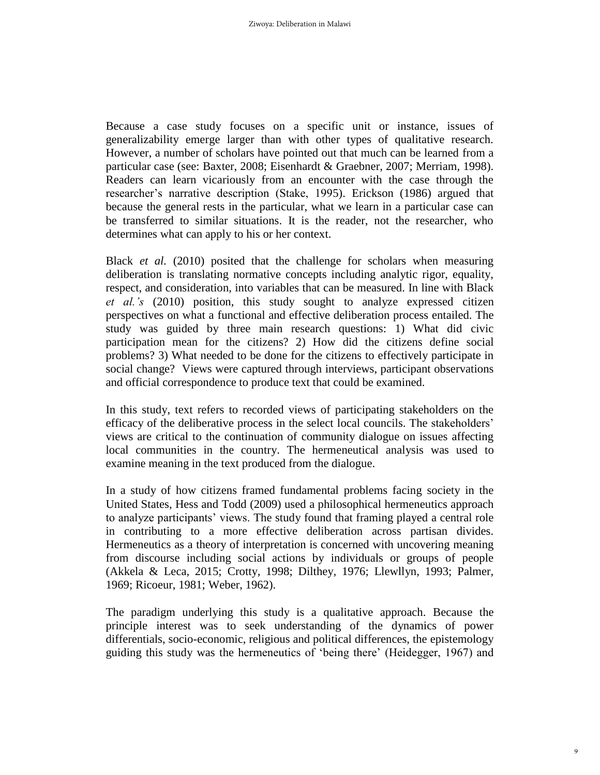Because a case study focuses on a specific unit or instance, issues of generalizability emerge larger than with other types of qualitative research. However, a number of scholars have pointed out that much can be learned from a particular case (see: Baxter, 2008; Eisenhardt & Graebner, 2007; Merriam, 1998). Readers can learn vicariously from an encounter with the case through the researcher's narrative description (Stake, 1995). Erickson (1986) argued that because the general rests in the particular, what we learn in a particular case can be transferred to similar situations. It is the reader, not the researcher, who determines what can apply to his or her context.

Black *et al.* (2010) posited that the challenge for scholars when measuring deliberation is translating normative concepts including analytic rigor, equality, respect, and consideration, into variables that can be measured. In line with Black *et al.'s* (2010) position, this study sought to analyze expressed citizen perspectives on what a functional and effective deliberation process entailed. The study was guided by three main research questions: 1) What did civic participation mean for the citizens? 2) How did the citizens define social problems? 3) What needed to be done for the citizens to effectively participate in social change? Views were captured through interviews, participant observations and official correspondence to produce text that could be examined.

In this study, text refers to recorded views of participating stakeholders on the efficacy of the deliberative process in the select local councils. The stakeholders' views are critical to the continuation of community dialogue on issues affecting local communities in the country. The hermeneutical analysis was used to examine meaning in the text produced from the dialogue.

In a study of how citizens framed fundamental problems facing society in the United States, Hess and Todd (2009) used a philosophical hermeneutics approach to analyze participants' views. The study found that framing played a central role in contributing to a more effective deliberation across partisan divides. Hermeneutics as a theory of interpretation is concerned with uncovering meaning from discourse including social actions by individuals or groups of people (Akkela & Leca, 2015; Crotty, 1998; Dilthey, 1976; Llewllyn, 1993; Palmer, 1969; Ricoeur, 1981; Weber, 1962).

The paradigm underlying this study is a qualitative approach. Because the principle interest was to seek understanding of the dynamics of power differentials, socio-economic, religious and political differences, the epistemology guiding this study was the hermeneutics of 'being there' (Heidegger, 1967) and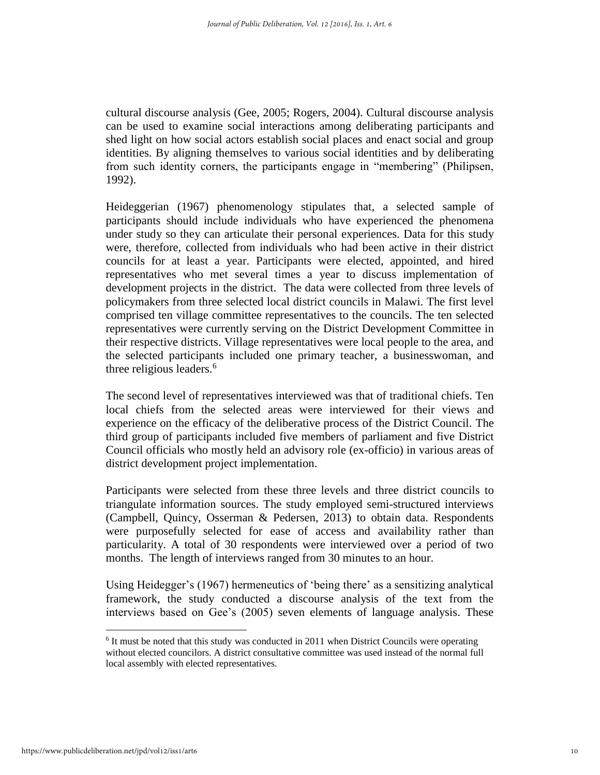cultural discourse analysis (Gee, 2005; Rogers, 2004). Cultural discourse analysis can be used to examine social interactions among deliberating participants and shed light on how social actors establish social places and enact social and group identities. By aligning themselves to various social identities and by deliberating from such identity corners, the participants engage in "membering" (Philipsen, 1992).

Heideggerian (1967) phenomenology stipulates that, a selected sample of participants should include individuals who have experienced the phenomena under study so they can articulate their personal experiences. Data for this study were, therefore, collected from individuals who had been active in their district councils for at least a year. Participants were elected, appointed, and hired representatives who met several times a year to discuss implementation of development projects in the district. The data were collected from three levels of policymakers from three selected local district councils in Malawi. The first level comprised ten village committee representatives to the councils. The ten selected representatives were currently serving on the District Development Committee in their respective districts. Village representatives were local people to the area, and the selected participants included one primary teacher, a businesswoman, and three religious leaders.<sup>6</sup>

The second level of representatives interviewed was that of traditional chiefs. Ten local chiefs from the selected areas were interviewed for their views and experience on the efficacy of the deliberative process of the District Council. The third group of participants included five members of parliament and five District Council officials who mostly held an advisory role (ex-officio) in various areas of district development project implementation.

Participants were selected from these three levels and three district councils to triangulate information sources. The study employed semi-structured interviews (Campbell, Quincy, Osserman & Pedersen, 2013) to obtain data. Respondents were purposefully selected for ease of access and availability rather than particularity. A total of 30 respondents were interviewed over a period of two months. The length of interviews ranged from 30 minutes to an hour.

Using Heidegger's (1967) hermeneutics of 'being there' as a sensitizing analytical framework, the study conducted a discourse analysis of the text from the interviews based on Gee's (2005) seven elements of language analysis. These

<sup>&</sup>lt;sup>6</sup> It must be noted that this study was conducted in 2011 when District Councils were operating without elected councilors. A district consultative committee was used instead of the normal full local assembly with elected representatives.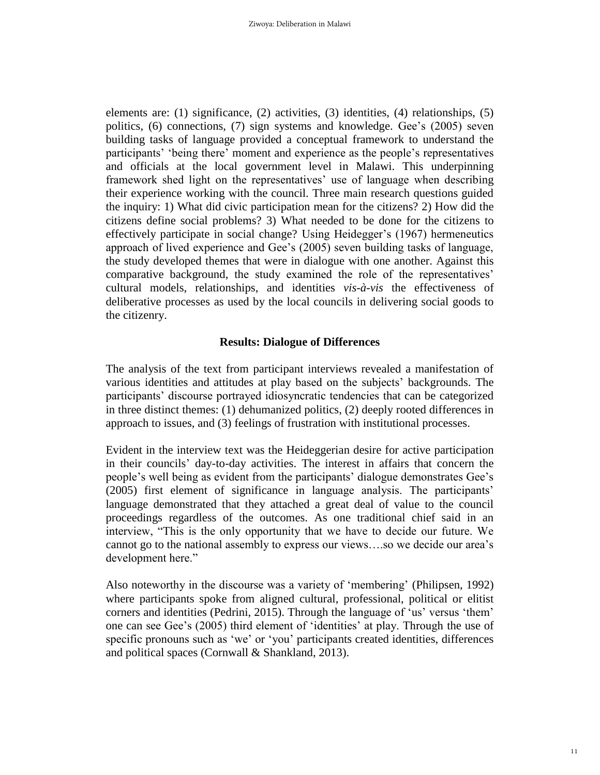elements are: (1) significance, (2) activities, (3) identities, (4) relationships, (5) politics, (6) connections, (7) sign systems and knowledge. Gee's (2005) seven building tasks of language provided a conceptual framework to understand the participants' 'being there' moment and experience as the people's representatives and officials at the local government level in Malawi. This underpinning framework shed light on the representatives' use of language when describing their experience working with the council. Three main research questions guided the inquiry: 1) What did civic participation mean for the citizens? 2) How did the citizens define social problems? 3) What needed to be done for the citizens to effectively participate in social change? Using Heidegger's (1967) hermeneutics approach of lived experience and Gee's (2005) seven building tasks of language, the study developed themes that were in dialogue with one another. Against this comparative background, the study examined the role of the representatives' cultural models, relationships, and identities *vis-à-vis* the effectiveness of deliberative processes as used by the local councils in delivering social goods to the citizenry.

#### **Results: Dialogue of Differences**

The analysis of the text from participant interviews revealed a manifestation of various identities and attitudes at play based on the subjects' backgrounds. The participants' discourse portrayed idiosyncratic tendencies that can be categorized in three distinct themes: (1) dehumanized politics, (2) deeply rooted differences in approach to issues, and (3) feelings of frustration with institutional processes.

Evident in the interview text was the Heideggerian desire for active participation in their councils' day-to-day activities. The interest in affairs that concern the people's well being as evident from the participants' dialogue demonstrates Gee's (2005) first element of significance in language analysis. The participants' language demonstrated that they attached a great deal of value to the council proceedings regardless of the outcomes. As one traditional chief said in an interview, "This is the only opportunity that we have to decide our future. We cannot go to the national assembly to express our views….so we decide our area's development here."

Also noteworthy in the discourse was a variety of 'membering' (Philipsen, 1992) where participants spoke from aligned cultural, professional, political or elitist corners and identities (Pedrini, 2015). Through the language of 'us' versus 'them' one can see Gee's (2005) third element of 'identities' at play. Through the use of specific pronouns such as 'we' or 'you' participants created identities, differences and political spaces (Cornwall & Shankland, 2013).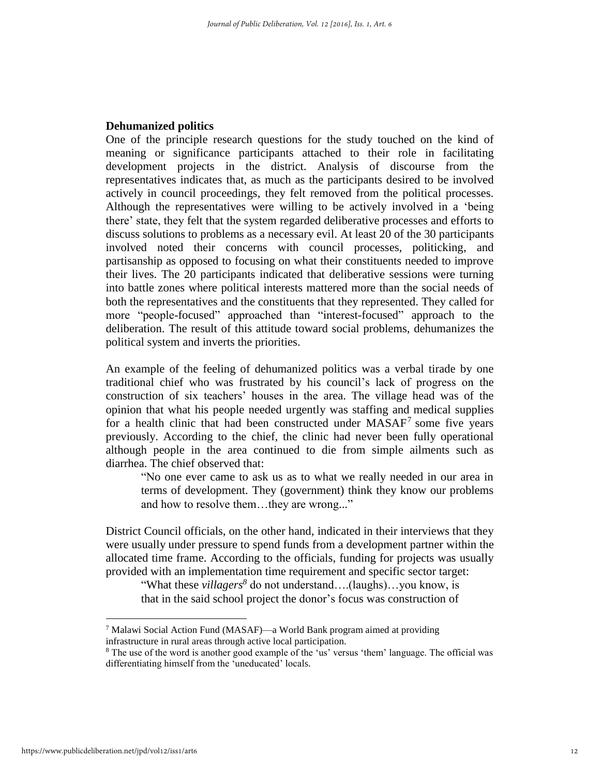#### **Dehumanized politics**

One of the principle research questions for the study touched on the kind of meaning or significance participants attached to their role in facilitating development projects in the district. Analysis of discourse from the representatives indicates that, as much as the participants desired to be involved actively in council proceedings, they felt removed from the political processes. Although the representatives were willing to be actively involved in a 'being there' state, they felt that the system regarded deliberative processes and efforts to discuss solutions to problems as a necessary evil. At least 20 of the 30 participants involved noted their concerns with council processes, politicking, and partisanship as opposed to focusing on what their constituents needed to improve their lives. The 20 participants indicated that deliberative sessions were turning into battle zones where political interests mattered more than the social needs of both the representatives and the constituents that they represented. They called for more "people-focused" approached than "interest-focused" approach to the deliberation. The result of this attitude toward social problems, dehumanizes the political system and inverts the priorities.

An example of the feeling of dehumanized politics was a verbal tirade by one traditional chief who was frustrated by his council's lack of progress on the construction of six teachers' houses in the area. The village head was of the opinion that what his people needed urgently was staffing and medical supplies for a health clinic that had been constructed under MASAF<sup>7</sup> some five years previously. According to the chief, the clinic had never been fully operational although people in the area continued to die from simple ailments such as diarrhea. The chief observed that:

"No one ever came to ask us as to what we really needed in our area in terms of development. They (government) think they know our problems and how to resolve them…they are wrong..."

District Council officials, on the other hand, indicated in their interviews that they were usually under pressure to spend funds from a development partner within the allocated time frame. According to the officials, funding for projects was usually provided with an implementation time requirement and specific sector target:

"What these *villagers<sup>8</sup>* do not understand….(laughs)…you know, is that in the said school project the donor's focus was construction of

<sup>&</sup>lt;sup>7</sup> Malawi Social Action Fund (MASAF)—a World Bank program aimed at providing infrastructure in rural areas through active local participation.

<sup>8</sup> The use of the word is another good example of the 'us' versus 'them' language. The official was differentiating himself from the 'uneducated' locals.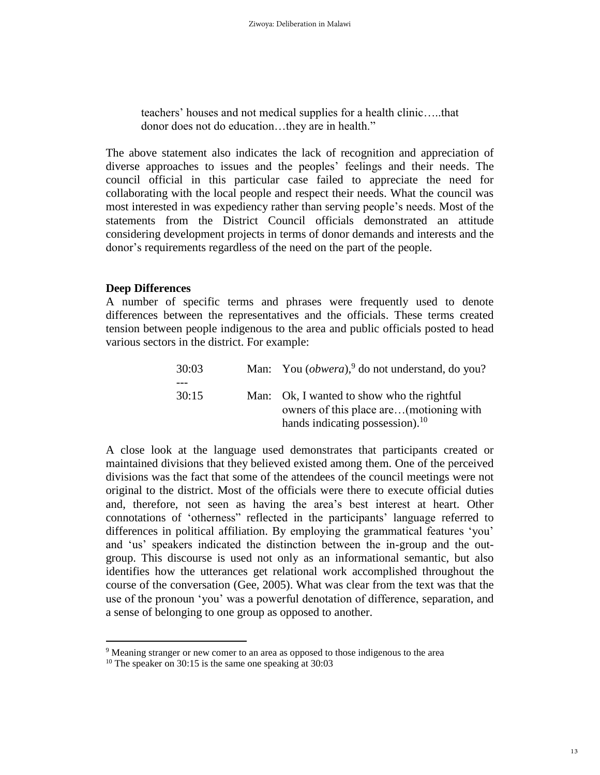teachers' houses and not medical supplies for a health clinic…..that donor does not do education…they are in health."

The above statement also indicates the lack of recognition and appreciation of diverse approaches to issues and the peoples' feelings and their needs. The council official in this particular case failed to appreciate the need for collaborating with the local people and respect their needs. What the council was most interested in was expediency rather than serving people's needs. Most of the statements from the District Council officials demonstrated an attitude considering development projects in terms of donor demands and interests and the donor's requirements regardless of the need on the part of the people.

#### **Deep Differences**

 $\overline{a}$ 

A number of specific terms and phrases were frequently used to denote differences between the representatives and the officials. These terms created tension between people indigenous to the area and public officials posted to head various sectors in the district. For example:

| 30:03 | Man: You $(obwera)$ , do not understand, do you?                                                                               |
|-------|--------------------------------------------------------------------------------------------------------------------------------|
|       |                                                                                                                                |
| 30:15 | Man: Ok, I wanted to show who the rightful<br>owners of this place are(motioning with<br>hands indicating possession). $^{10}$ |

A close look at the language used demonstrates that participants created or maintained divisions that they believed existed among them. One of the perceived divisions was the fact that some of the attendees of the council meetings were not original to the district. Most of the officials were there to execute official duties and, therefore, not seen as having the area's best interest at heart. Other connotations of 'otherness" reflected in the participants' language referred to differences in political affiliation. By employing the grammatical features 'you' and 'us' speakers indicated the distinction between the in-group and the outgroup. This discourse is used not only as an informational semantic, but also identifies how the utterances get relational work accomplished throughout the course of the conversation (Gee, 2005). What was clear from the text was that the use of the pronoun 'you' was a powerful denotation of difference, separation, and a sense of belonging to one group as opposed to another.

<sup>&</sup>lt;sup>9</sup> Meaning stranger or new comer to an area as opposed to those indigenous to the area

<sup>&</sup>lt;sup>10</sup> The speaker on 30:15 is the same one speaking at  $30:03$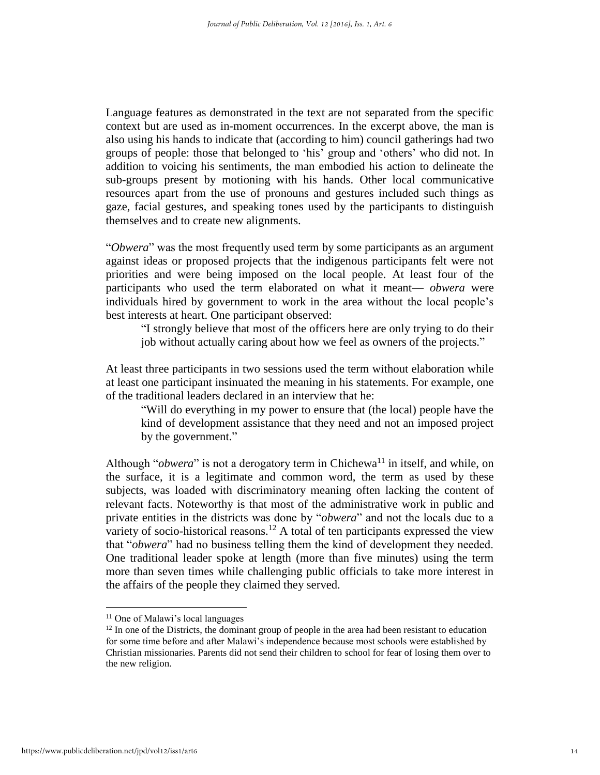Language features as demonstrated in the text are not separated from the specific context but are used as in-moment occurrences. In the excerpt above, the man is also using his hands to indicate that (according to him) council gatherings had two groups of people: those that belonged to 'his' group and 'others' who did not. In addition to voicing his sentiments, the man embodied his action to delineate the sub-groups present by motioning with his hands. Other local communicative resources apart from the use of pronouns and gestures included such things as gaze, facial gestures, and speaking tones used by the participants to distinguish themselves and to create new alignments.

"*Obwera*" was the most frequently used term by some participants as an argument against ideas or proposed projects that the indigenous participants felt were not priorities and were being imposed on the local people. At least four of the participants who used the term elaborated on what it meant— *obwera* were individuals hired by government to work in the area without the local people's best interests at heart. One participant observed:

"I strongly believe that most of the officers here are only trying to do their job without actually caring about how we feel as owners of the projects."

At least three participants in two sessions used the term without elaboration while at least one participant insinuated the meaning in his statements. For example, one of the traditional leaders declared in an interview that he:

"Will do everything in my power to ensure that (the local) people have the kind of development assistance that they need and not an imposed project by the government."

Although "*obwera*" is not a derogatory term in Chichewa<sup>11</sup> in itself, and while, on the surface, it is a legitimate and common word, the term as used by these subjects, was loaded with discriminatory meaning often lacking the content of relevant facts. Noteworthy is that most of the administrative work in public and private entities in the districts was done by "*obwera*" and not the locals due to a variety of socio-historical reasons.<sup>12</sup> A total of ten participants expressed the view that "*obwera*" had no business telling them the kind of development they needed. One traditional leader spoke at length (more than five minutes) using the term more than seven times while challenging public officials to take more interest in the affairs of the people they claimed they served.

<sup>&</sup>lt;sup>11</sup> One of Malawi's local languages

<sup>&</sup>lt;sup>12</sup> In one of the Districts, the dominant group of people in the area had been resistant to education for some time before and after Malawi's independence because most schools were established by Christian missionaries. Parents did not send their children to school for fear of losing them over to the new religion.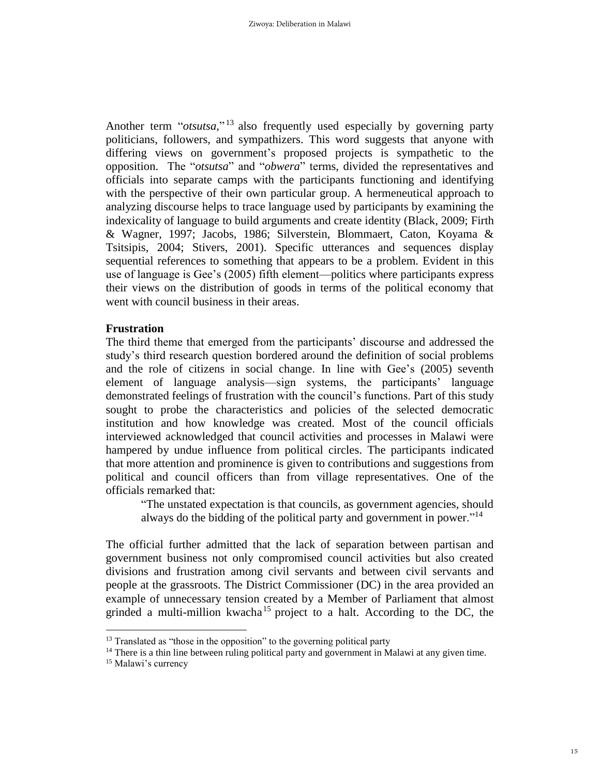Another term "*otsutsa*,"<sup>13</sup> also frequently used especially by governing party politicians, followers, and sympathizers. This word suggests that anyone with differing views on government's proposed projects is sympathetic to the opposition. The "*otsutsa*" and "*obwera*" terms, divided the representatives and officials into separate camps with the participants functioning and identifying with the perspective of their own particular group. A hermeneutical approach to analyzing discourse helps to trace language used by participants by examining the indexicality of language to build arguments and create identity (Black, 2009; Firth & Wagner, 1997; Jacobs, 1986; Silverstein, Blommaert, Caton, Koyama & Tsitsipis, 2004; Stivers, 2001). Specific utterances and sequences display sequential references to something that appears to be a problem. Evident in this use of language is Gee's (2005) fifth element—politics where participants express their views on the distribution of goods in terms of the political economy that went with council business in their areas.

#### **Frustration**

The third theme that emerged from the participants' discourse and addressed the study's third research question bordered around the definition of social problems and the role of citizens in social change. In line with Gee's (2005) seventh element of language analysis—sign systems, the participants' language demonstrated feelings of frustration with the council's functions. Part of this study sought to probe the characteristics and policies of the selected democratic institution and how knowledge was created. Most of the council officials interviewed acknowledged that council activities and processes in Malawi were hampered by undue influence from political circles. The participants indicated that more attention and prominence is given to contributions and suggestions from political and council officers than from village representatives. One of the officials remarked that:

"The unstated expectation is that councils, as government agencies, should always do the bidding of the political party and government in power."<sup>14</sup>

The official further admitted that the lack of separation between partisan and government business not only compromised council activities but also created divisions and frustration among civil servants and between civil servants and people at the grassroots. The District Commissioner (DC) in the area provided an example of unnecessary tension created by a Member of Parliament that almost grinded a multi-million kwacha<sup>15</sup> project to a halt. According to the DC, the

<sup>&</sup>lt;sup>13</sup> Translated as "those in the opposition" to the governing political party

<sup>&</sup>lt;sup>14</sup> There is a thin line between ruling political party and government in Malawi at any given time.

<sup>&</sup>lt;sup>15</sup> Malawi's currency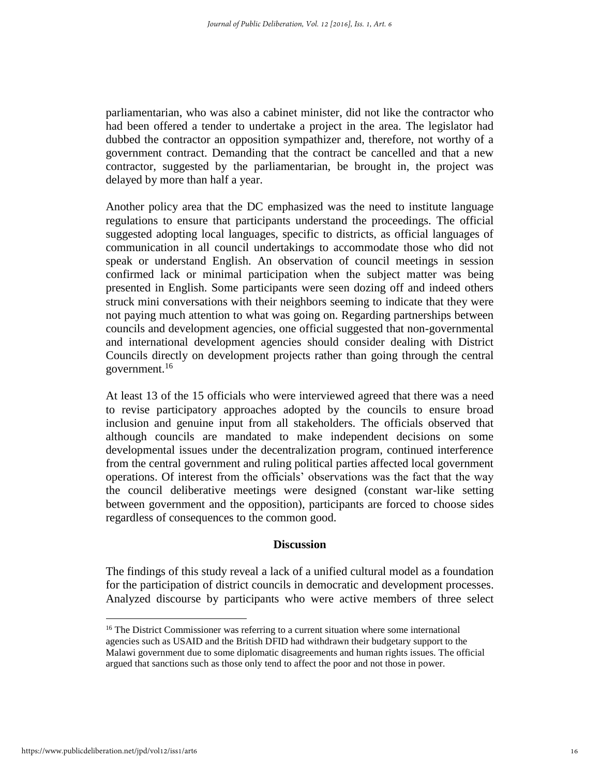parliamentarian, who was also a cabinet minister, did not like the contractor who had been offered a tender to undertake a project in the area. The legislator had dubbed the contractor an opposition sympathizer and, therefore, not worthy of a government contract. Demanding that the contract be cancelled and that a new contractor, suggested by the parliamentarian, be brought in, the project was delayed by more than half a year.

Another policy area that the DC emphasized was the need to institute language regulations to ensure that participants understand the proceedings. The official suggested adopting local languages, specific to districts, as official languages of communication in all council undertakings to accommodate those who did not speak or understand English. An observation of council meetings in session confirmed lack or minimal participation when the subject matter was being presented in English. Some participants were seen dozing off and indeed others struck mini conversations with their neighbors seeming to indicate that they were not paying much attention to what was going on. Regarding partnerships between councils and development agencies, one official suggested that non-governmental and international development agencies should consider dealing with District Councils directly on development projects rather than going through the central government.<sup>16</sup>

At least 13 of the 15 officials who were interviewed agreed that there was a need to revise participatory approaches adopted by the councils to ensure broad inclusion and genuine input from all stakeholders. The officials observed that although councils are mandated to make independent decisions on some developmental issues under the decentralization program, continued interference from the central government and ruling political parties affected local government operations. Of interest from the officials' observations was the fact that the way the council deliberative meetings were designed (constant war-like setting between government and the opposition), participants are forced to choose sides regardless of consequences to the common good.

#### **Discussion**

The findings of this study reveal a lack of a unified cultural model as a foundation for the participation of district councils in democratic and development processes. Analyzed discourse by participants who were active members of three select

<sup>&</sup>lt;sup>16</sup> The District Commissioner was referring to a current situation where some international agencies such as USAID and the British DFID had withdrawn their budgetary support to the Malawi government due to some diplomatic disagreements and human rights issues. The official argued that sanctions such as those only tend to affect the poor and not those in power.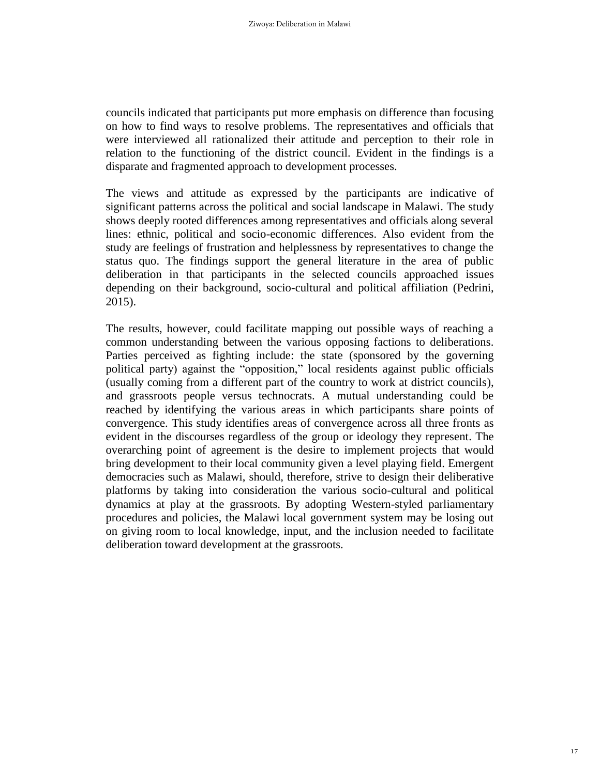councils indicated that participants put more emphasis on difference than focusing on how to find ways to resolve problems. The representatives and officials that were interviewed all rationalized their attitude and perception to their role in relation to the functioning of the district council. Evident in the findings is a disparate and fragmented approach to development processes.

The views and attitude as expressed by the participants are indicative of significant patterns across the political and social landscape in Malawi. The study shows deeply rooted differences among representatives and officials along several lines: ethnic, political and socio-economic differences. Also evident from the study are feelings of frustration and helplessness by representatives to change the status quo. The findings support the general literature in the area of public deliberation in that participants in the selected councils approached issues depending on their background, socio-cultural and political affiliation (Pedrini, 2015).

The results, however, could facilitate mapping out possible ways of reaching a common understanding between the various opposing factions to deliberations. Parties perceived as fighting include: the state (sponsored by the governing political party) against the "opposition," local residents against public officials (usually coming from a different part of the country to work at district councils), and grassroots people versus technocrats. A mutual understanding could be reached by identifying the various areas in which participants share points of convergence. This study identifies areas of convergence across all three fronts as evident in the discourses regardless of the group or ideology they represent. The overarching point of agreement is the desire to implement projects that would bring development to their local community given a level playing field. Emergent democracies such as Malawi, should, therefore, strive to design their deliberative platforms by taking into consideration the various socio-cultural and political dynamics at play at the grassroots. By adopting Western-styled parliamentary procedures and policies, the Malawi local government system may be losing out on giving room to local knowledge, input, and the inclusion needed to facilitate deliberation toward development at the grassroots.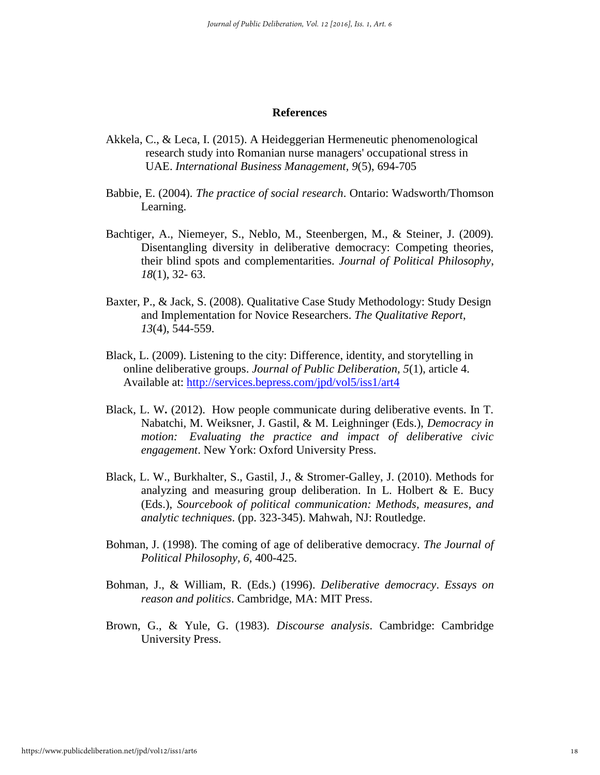#### **References**

- Akkela, C., & Leca, I. (2015). A Heideggerian Hermeneutic phenomenological research study into Romanian nurse managers' occupational stress in UAE. *International Business Management, 9*(5), 694-705
- Babbie, E. (2004). *The practice of social research*. Ontario: Wadsworth/Thomson Learning.
- Bachtiger, A., Niemeyer, S., Neblo, M., Steenbergen, M., & Steiner, J. (2009). Disentangling diversity in deliberative democracy: Competing theories, their blind spots and complementarities. *Journal of Political Philosophy*, *18*(1), 32- 63.
- Baxter, P., & Jack, S. (2008). Qualitative Case Study Methodology: Study Design and Implementation for Novice Researchers. *The Qualitative Report*, *13*(4), 544-559.
- Black, L. (2009). Listening to the city: Difference, identity, and storytelling in online deliberative groups. *Journal of Public Deliberation, 5*(1), article 4. Available at:<http://services.bepress.com/jpd/vol5/iss1/art4>
- Black, L. W**.** (2012). How people communicate during deliberative events. In T. Nabatchi, M. Weiksner, J. Gastil, & M. Leighninger (Eds.), *Democracy in motion: Evaluating the practice and impact of deliberative civic engagement*. New York: Oxford University Press.
- Black, L. W., Burkhalter, S., Gastil, J., & Stromer-Galley, J. (2010). Methods for analyzing and measuring group deliberation. In L. Holbert  $\&$  E. Bucy (Eds.), *Sourcebook of political communication: Methods, measures, and analytic techniques*. (pp. 323-345). Mahwah, NJ: Routledge.
- Bohman, J. (1998). The coming of age of deliberative democracy. *The Journal of Political Philosophy, 6,* 400-425.
- Bohman, J., & William, R. (Eds.) (1996). *Deliberative democracy*. *Essays on reason and politics*. Cambridge, MA: MIT Press.
- Brown, G., & Yule, G. (1983). *Discourse analysis*. Cambridge: Cambridge University Press.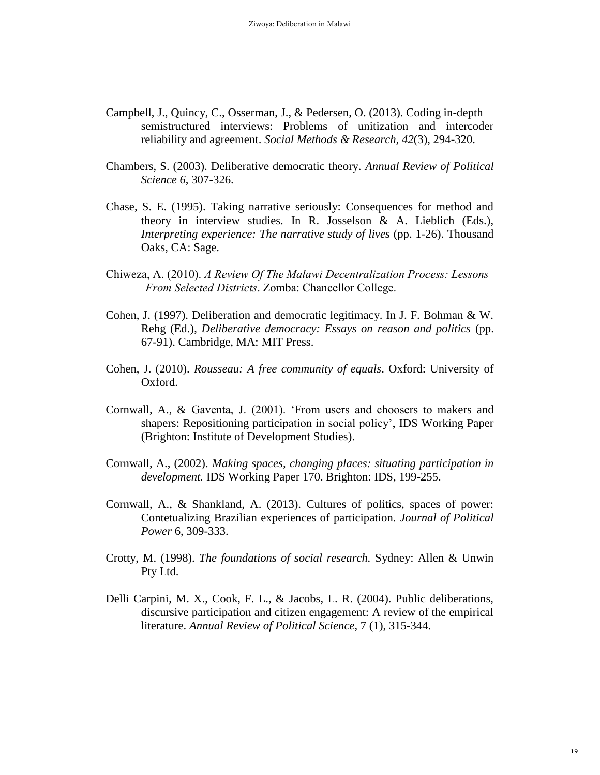- Campbell, J., Quincy, C., Osserman, J., & Pedersen, O. (2013). Coding in-depth semistructured interviews: Problems of unitization and intercoder reliability and agreement. *Social Methods & Research, 42*(3), 294-320.
- Chambers, S. (2003). Deliberative democratic theory. *Annual Review of Political Science 6*, 307-326.
- Chase, S. E. (1995). Taking narrative seriously: Consequences for method and theory in interview studies. In R. Josselson & A. Lieblich (Eds.), *Interpreting experience: The narrative study of lives* (pp. 1-26). Thousand Oaks, CA: Sage.
- Chiweza, A. (2010). *A Review Of The Malawi Decentralization Process: Lessons From Selected Districts*. Zomba: Chancellor College.
- Cohen, J. (1997). Deliberation and democratic legitimacy. In J. F. Bohman & W. Rehg (Ed.), *Deliberative democracy: Essays on reason and politics* (pp. 67-91). Cambridge, MA: MIT Press.
- Cohen, J. (2010). *Rousseau: A free community of equals*. Oxford: University of Oxford.
- Cornwall, A., & Gaventa, J. (2001). 'From users and choosers to makers and shapers: Repositioning participation in social policy', IDS Working Paper (Brighton: Institute of Development Studies).
- Cornwall, A., (2002). *Making spaces, changing places: situating participation in development.* IDS Working Paper 170. Brighton: IDS, 199-255.
- Cornwall, A., & Shankland, A. (2013). Cultures of politics, spaces of power: Contetualizing Brazilian experiences of participation. *Journal of Political Power* 6, 309-333.
- Crotty, M. (1998). *The foundations of social research.* Sydney: Allen & Unwin Pty Ltd.
- Delli Carpini, M. X., Cook, F. L., & Jacobs, L. R. (2004). Public deliberations, discursive participation and citizen engagement: A review of the empirical literature. *Annual Review of Political Science*, 7 (1), 315-344.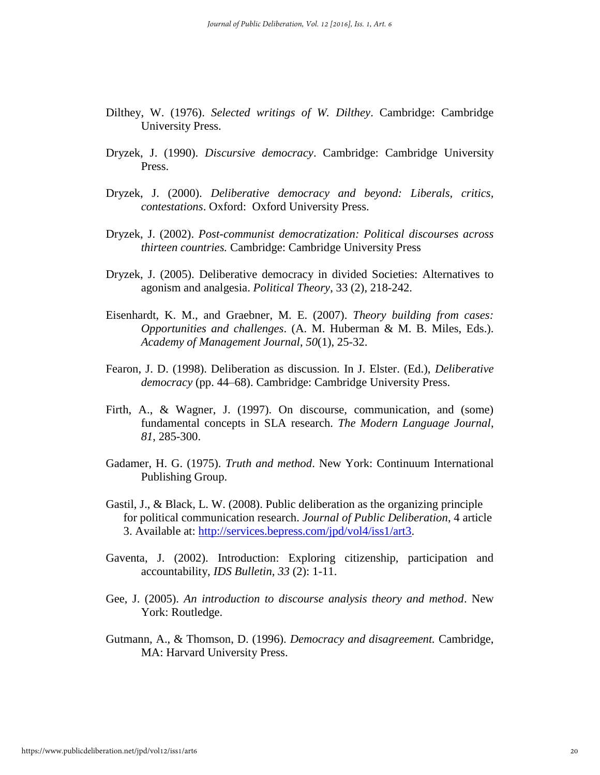- Dilthey, W. (1976). *Selected writings of W. Dilthey*. Cambridge: Cambridge University Press.
- Dryzek, J. (1990). *Discursive democracy*. Cambridge: Cambridge University Press.
- Dryzek, J. (2000). *Deliberative democracy and beyond: Liberals, critics, contestations*. Oxford: Oxford University Press.
- Dryzek, J. (2002). *Post-communist democratization: Political discourses across thirteen countries.* Cambridge: Cambridge University Press
- Dryzek, J. (2005). Deliberative democracy in divided Societies: Alternatives to agonism and analgesia. *Political Theory*, 33 (2), 218-242.
- Eisenhardt, K. M., and Graebner, M. E. (2007). *Theory building from cases: Opportunities and challenges*. (A. M. Huberman & M. B. Miles, Eds.). *Academy of Management Journal*, *50*(1), 25-32.
- Fearon, J. D. (1998). Deliberation as discussion. In J. Elster. (Ed.), *Deliberative democracy* (pp. 44–68). Cambridge: Cambridge University Press.
- Firth, A., & Wagner, J. (1997). On discourse, communication, and (some) fundamental concepts in SLA research. *The Modern Language Journal*, *81*, 285-300.
- Gadamer, H. G. (1975). *Truth and method*. New York: Continuum International Publishing Group.
- Gastil, J., & Black, L. W. (2008). Public deliberation as the organizing principle for political communication research. *Journal of Public Deliberation*, 4 article 3. Available at: [http://services.bepress.com/jpd/vol4/iss1/art3.](http://services.bepress.com/jpd/vol4/iss1/art3)
- Gaventa, J. (2002). Introduction: Exploring citizenship, participation and accountability, *IDS Bulletin, 33* (2): 1-11.
- Gee, J. (2005). *An introduction to discourse analysis theory and method*. New York: Routledge.
- Gutmann, A., & Thomson, D. (1996). *Democracy and disagreement.* Cambridge, MA: Harvard University Press.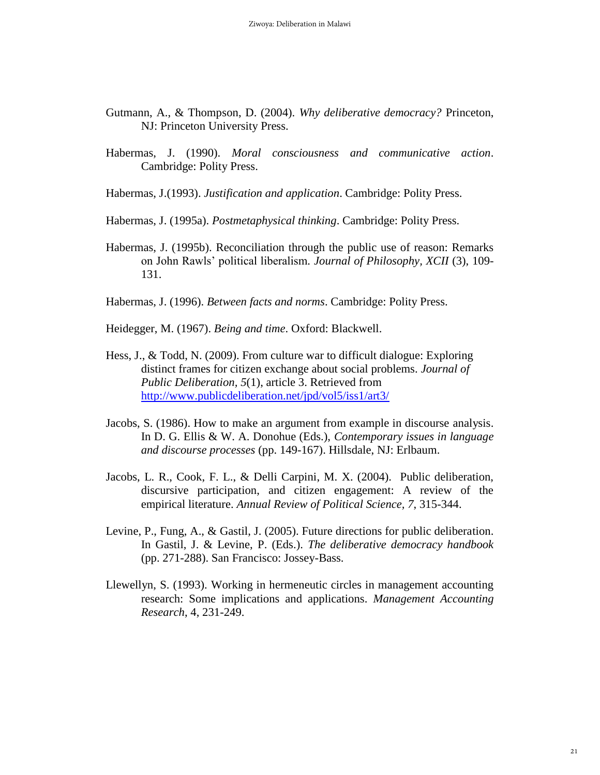- Gutmann, A., & Thompson, D. (2004). *Why deliberative democracy?* Princeton, NJ: Princeton University Press.
- Habermas, J. (1990). *Moral consciousness and communicative action*. Cambridge: Polity Press.
- Habermas, J.(1993). *Justification and application*. Cambridge: Polity Press.
- Habermas, J. (1995a). *Postmetaphysical thinking*. Cambridge: Polity Press.
- Habermas, J. (1995b). Reconciliation through the public use of reason: Remarks on John Rawls' political liberalism*. Journal of Philosophy, XCII* (3), 109- 131.
- Habermas, J. (1996). *Between facts and norms*. Cambridge: Polity Press.
- Heidegger, M. (1967). *Being and time*. Oxford: Blackwell.
- Hess, J., & Todd, N. (2009). From culture war to difficult dialogue: Exploring distinct frames for citizen exchange about social problems. *Journal of Public Deliberation, 5*(1), article 3. Retrieved from <http://www.publicdeliberation.net/jpd/vol5/iss1/art3/>
- Jacobs, S. (1986). How to make an argument from example in discourse analysis. In D. G. Ellis & W. A. Donohue (Eds.), *Contemporary issues in language and discourse processes* (pp. 149-167). Hillsdale, NJ: Erlbaum.
- Jacobs, L. R., Cook, F. L., & Delli Carpini, M. X. (2004). Public deliberation, discursive participation, and citizen engagement: A review of the empirical literature. *Annual Review of Political Science, 7*, 315-344.
- Levine, P., Fung, A., & Gastil, J. (2005). Future directions for public deliberation. In Gastil, J. & Levine, P. (Eds.). *The deliberative democracy handbook* (pp. 271-288). San Francisco: Jossey-Bass.
- Llewellyn, S. (1993). Working in hermeneutic circles in management accounting research: Some implications and applications. *Management Accounting Research*, 4, 231-249.